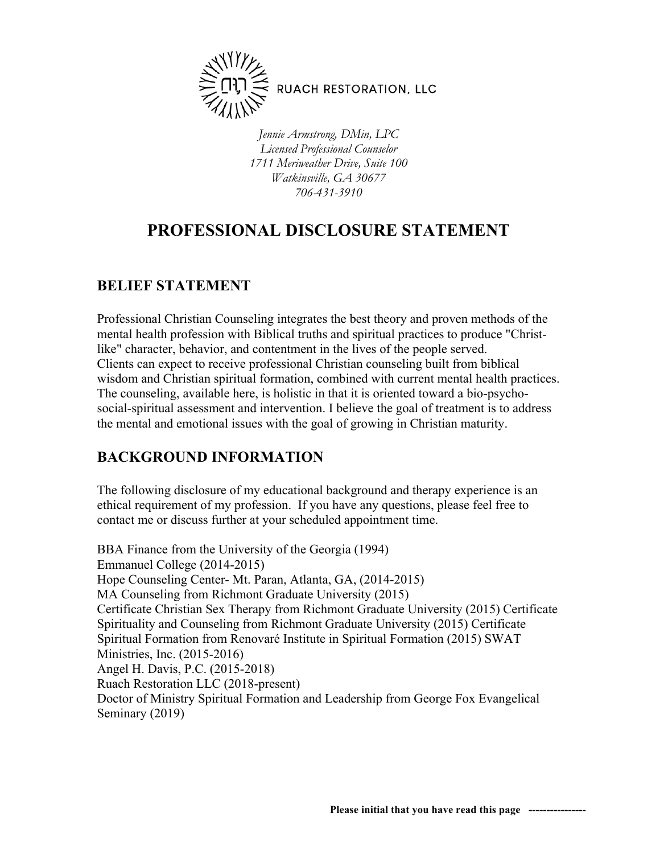

*Jennie Armstrong, DMin, LPC Licensed Professional Counselor 1711 Meriweather Drive, Suite 100 Watkinsville, GA 30677 706-431-3910*

# **PROFESSIONAL DISCLOSURE STATEMENT**

## **BELIEF STATEMENT**

Professional Christian Counseling integrates the best theory and proven methods of the mental health profession with Biblical truths and spiritual practices to produce "Christlike" character, behavior, and contentment in the lives of the people served. Clients can expect to receive professional Christian counseling built from biblical wisdom and Christian spiritual formation, combined with current mental health practices. The counseling, available here, is holistic in that it is oriented toward a bio-psychosocial-spiritual assessment and intervention. I believe the goal of treatment is to address the mental and emotional issues with the goal of growing in Christian maturity.

## **BACKGROUND INFORMATION**

The following disclosure of my educational background and therapy experience is an ethical requirement of my profession. If you have any questions, please feel free to contact me or discuss further at your scheduled appointment time.

BBA Finance from the University of the Georgia (1994) Emmanuel College (2014-2015) Hope Counseling Center- Mt. Paran, Atlanta, GA, (2014-2015) MA Counseling from Richmont Graduate University (2015) Certificate Christian Sex Therapy from Richmont Graduate University (2015) Certificate Spirituality and Counseling from Richmont Graduate University (2015) Certificate Spiritual Formation from Renovaré Institute in Spiritual Formation (2015) SWAT Ministries, Inc. (2015-2016) Angel H. Davis, P.C. (2015-2018) Ruach Restoration LLC (2018-present) Doctor of Ministry Spiritual Formation and Leadership from George Fox Evangelical Seminary (2019)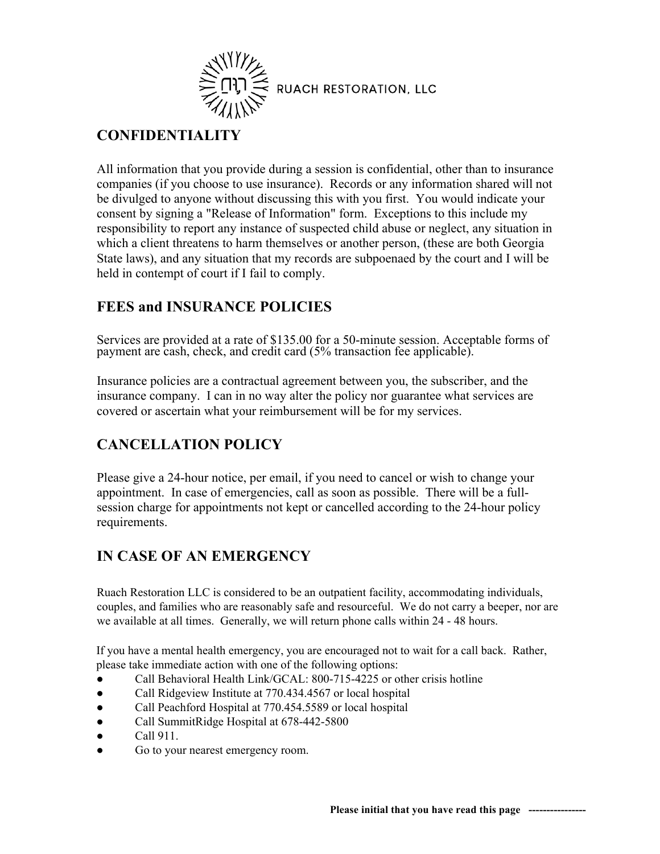

## **CONFIDENTIALITY**

All information that you provide during a session is confidential, other than to insurance companies (if you choose to use insurance). Records or any information shared will not be divulged to anyone without discussing this with you first. You would indicate your consent by signing a "Release of Information" form. Exceptions to this include my responsibility to report any instance of suspected child abuse or neglect, any situation in which a client threatens to harm themselves or another person, (these are both Georgia State laws), and any situation that my records are subpoenaed by the court and I will be held in contempt of court if I fail to comply.

## **FEES and INSURANCE POLICIES**

Services are provided at a rate of \$135.00 for a 50-minute session. Acceptable forms of payment are cash, check, and credit card (5% transaction fee applicable).

Insurance policies are a contractual agreement between you, the subscriber, and the insurance company. I can in no way alter the policy nor guarantee what services are covered or ascertain what your reimbursement will be for my services.

## **CANCELLATION POLICY**

Please give a 24-hour notice, per email, if you need to cancel or wish to change your appointment. In case of emergencies, call as soon as possible. There will be a fullsession charge for appointments not kept or cancelled according to the 24-hour policy requirements.

## **IN CASE OF AN EMERGENCY**

Ruach Restoration LLC is considered to be an outpatient facility, accommodating individuals, couples, and families who are reasonably safe and resourceful. We do not carry a beeper, nor are we available at all times. Generally, we will return phone calls within 24 - 48 hours.

If you have a mental health emergency, you are encouraged not to wait for a call back. Rather, please take immediate action with one of the following options:

- Call Behavioral Health Link/GCAL: 800-715-4225 or other crisis hotline
- Call Ridgeview Institute at 770.434.4567 or local hospital
- Call Peachford Hospital at 770.454.5589 or local hospital
- Call SummitRidge Hospital at 678-442-5800
- $\bullet$  Call 911.
- Go to your nearest emergency room.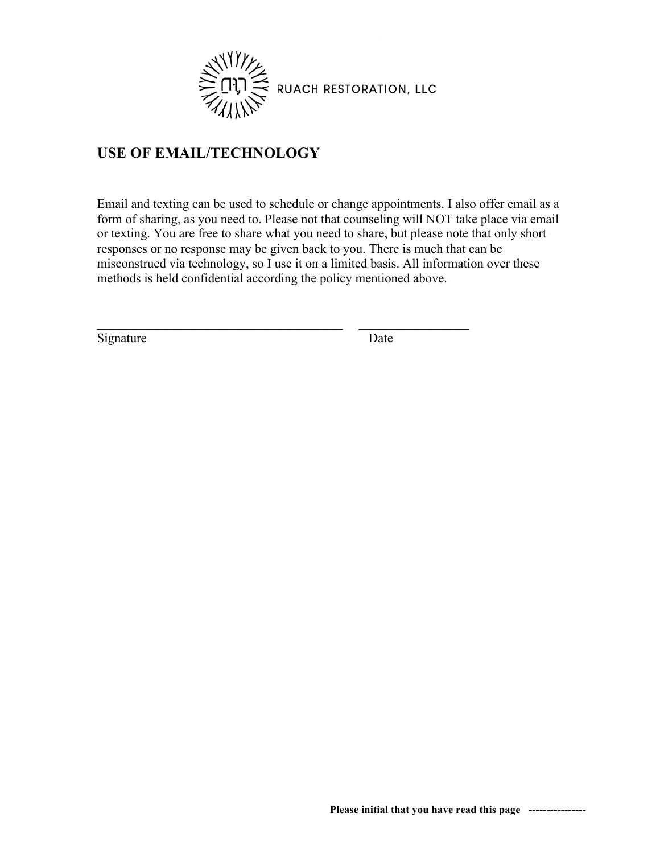

## **USE OF EMAIL/TECHNOLOGY**

Email and texting can be used to schedule or change appointments. I also offer email as a form of sharing, as you need to. Please not that counseling will NOT take place via email or texting. You are free to share what you need to share, but please note that only short responses or no response may be given back to you. There is much that can be misconstrued via technology, so I use it on a limited basis. All information over these methods is held confidential according the policy mentioned above.

 $\mathcal{L}_\mathcal{L}$  , and the contribution of the contribution of the contribution of the contribution of the contribution of the contribution of the contribution of the contribution of the contribution of the contribution of

Signature Date

**Please initial that you have read this page ----------------**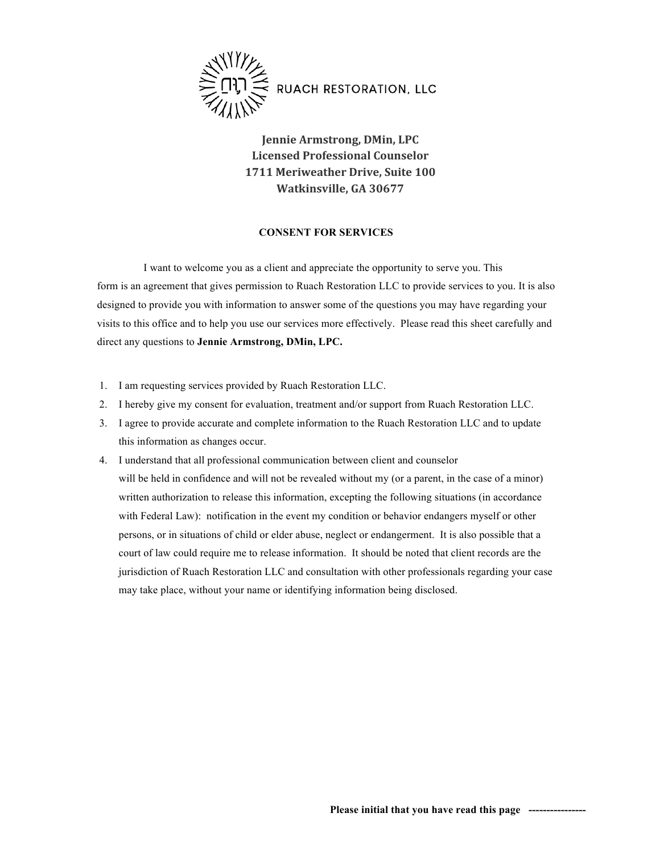

**Jennie Armstrong, DMin, LPC Licensed Professional Counselor 1711 Meriweather Drive, Suite 100 Watkinsville, GA 30677**

### **CONSENT FOR SERVICES**

I want to welcome you as a client and appreciate the opportunity to serve you. This form is an agreement that gives permission to Ruach Restoration LLC to provide services to you. It is also designed to provide you with information to answer some of the questions you may have regarding your visits to this office and to help you use our services more effectively. Please read this sheet carefully and direct any questions to **Jennie Armstrong, DMin, LPC.** 

- 1. I am requesting services provided by Ruach Restoration LLC.
- 2. I hereby give my consent for evaluation, treatment and/or support from Ruach Restoration LLC.
- 3. I agree to provide accurate and complete information to the Ruach Restoration LLC and to update this information as changes occur.
- 4. I understand that all professional communication between client and counselor will be held in confidence and will not be revealed without my (or a parent, in the case of a minor) written authorization to release this information, excepting the following situations (in accordance with Federal Law): notification in the event my condition or behavior endangers myself or other persons, or in situations of child or elder abuse, neglect or endangerment. It is also possible that a court of law could require me to release information. It should be noted that client records are the jurisdiction of Ruach Restoration LLC and consultation with other professionals regarding your case may take place, without your name or identifying information being disclosed.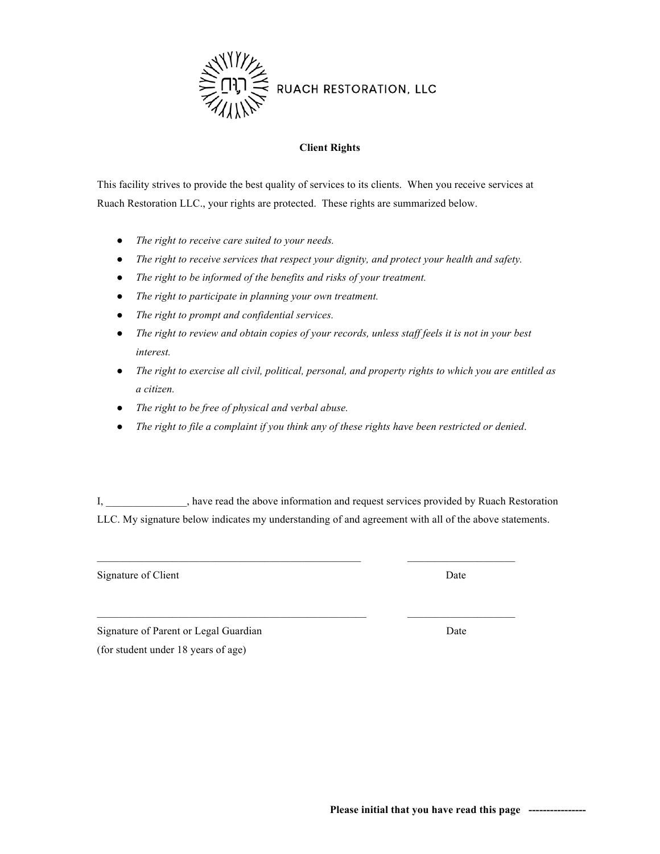

### **Client Rights**

This facility strives to provide the best quality of services to its clients. When you receive services at Ruach Restoration LLC., your rights are protected. These rights are summarized below.

- *The right to receive care suited to your needs.*
- *The right to receive services that respect your dignity, and protect your health and safety.*
- *The right to be informed of the benefits and risks of your treatment.*
- *The right to participate in planning your own treatment.*
- *The right to prompt and confidential services.*
- *The right to review and obtain copies of your records, unless staff feels it is not in your best interest.*
- *The right to exercise all civil, political, personal, and property rights to which you are entitled as a citizen.*
- *The right to be free of physical and verbal abuse.*
- *The right to file a complaint if you think any of these rights have been restricted or denied*.

I, \_\_\_\_\_\_\_\_\_\_\_\_\_\_\_, have read the above information and request services provided by Ruach Restoration LLC. My signature below indicates my understanding of and agreement with all of the above statements.

Signature of Client Date

Signature of Parent or Legal Guardian Date

(for student under 18 years of age)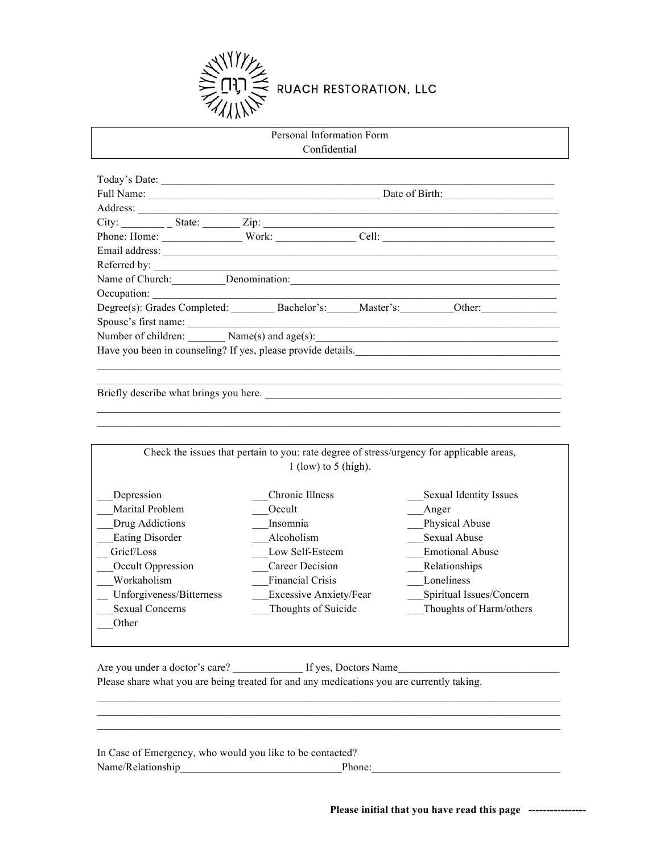

## Personal Information Form Confidential

|                      | Today's Date:                                                |  |                       |  |  |
|----------------------|--------------------------------------------------------------|--|-----------------------|--|--|
|                      | Full Name:                                                   |  |                       |  |  |
|                      |                                                              |  |                       |  |  |
|                      |                                                              |  |                       |  |  |
|                      | Phone: Home: Work:                                           |  | Cell: $\qquad \qquad$ |  |  |
|                      |                                                              |  |                       |  |  |
|                      |                                                              |  |                       |  |  |
|                      | Name of Church: Denomination:                                |  |                       |  |  |
|                      |                                                              |  |                       |  |  |
|                      | Degree(s): Grades Completed: Bachelor's: Master's:           |  | Other:                |  |  |
| Spouse's first name: |                                                              |  |                       |  |  |
|                      | Number of children: $\qquad \qquad$ Name(s) and age(s):      |  |                       |  |  |
|                      | Have you been in counseling? If yes, please provide details. |  |                       |  |  |
|                      |                                                              |  |                       |  |  |
|                      |                                                              |  |                       |  |  |

Briefly describe what brings you here. \_\_\_\_\_\_\_\_\_\_\_\_\_\_\_\_\_\_\_\_\_\_\_\_\_\_\_\_\_\_\_\_\_\_\_\_\_\_\_\_\_\_\_\_\_\_\_\_\_\_\_\_\_\_\_

|                          | Check the issues that pertain to you: rate degree of stress/urgency for applicable areas, |                          |
|--------------------------|-------------------------------------------------------------------------------------------|--------------------------|
|                          | 1 (low) to 5 (high).                                                                      |                          |
| Depression               | Chronic Illness                                                                           | Sexual Identity Issues   |
| Marital Problem          | Occult                                                                                    | Anger                    |
| Drug Addictions          | Insomnia                                                                                  | Physical Abuse           |
| <b>Eating Disorder</b>   | Alcoholism                                                                                | <b>Sexual Abuse</b>      |
| Grief/Loss               | Low Self-Esteem                                                                           | <b>Emotional Abuse</b>   |
| Occult Oppression        | Career Decision                                                                           | Relationships            |
| Workaholism              | <b>Financial Crisis</b>                                                                   | Loneliness               |
| Unforgiveness/Bitterness | <b>Excessive Anxiety/Fear</b>                                                             | Spiritual Issues/Concern |
| <b>Sexual Concerns</b>   | Thoughts of Suicide                                                                       | Thoughts of Harm/others  |
| Other                    |                                                                                           |                          |

Are you under a doctor's care? <br>If yes, Doctors Name Please share what you are being treated for and any medications you are currently taking.

In Case of Emergency, who would you like to be contacted? Name/Relationship<br>q expansion  $P$  Phone:

 $\_$  , and the state of the state of the state of the state of the state of the state of the state of the state of the state of the state of the state of the state of the state of the state of the state of the state of the

 $\mathcal{L}_\text{max}$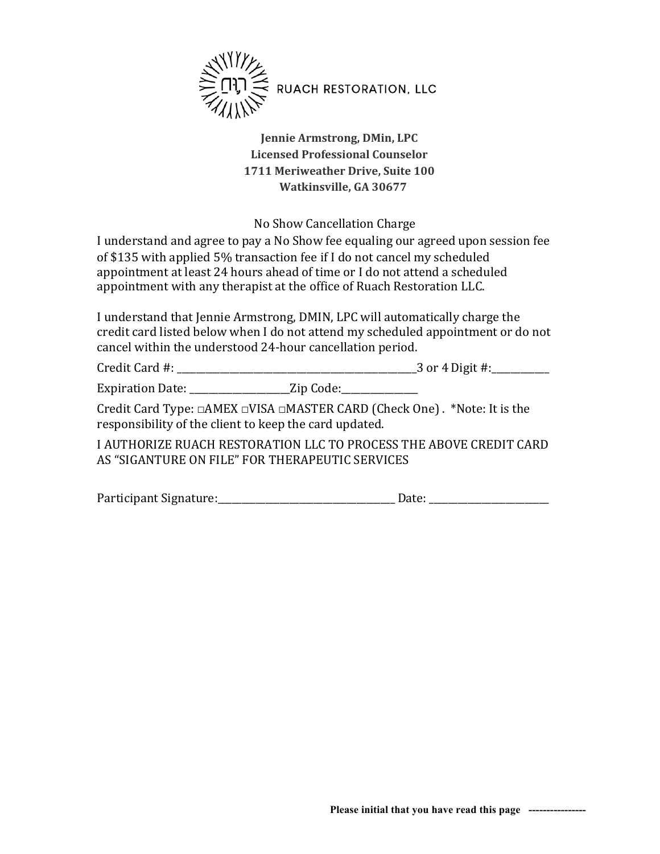

**Jennie Armstrong, DMin, LPC Licensed Professional Counselor 1711 Meriweather Drive, Suite 100 Watkinsville, GA 30677**

No Show Cancellation Charge

I understand and agree to pay a No Show fee equaling our agreed upon session fee of \$135 with applied 5% transaction fee if I do not cancel my scheduled appointment at least 24 hours ahead of time or I do not attend a scheduled appointment with any therapist at the office of Ruach Restoration LLC.

I understand that Jennie Armstrong, DMIN, LPC will automatically charge the credit card listed below when I do not attend my scheduled appointment or do not cancel within the understood 24-hour cancellation period.

Credit Card #: \_\_\_\_\_\_\_\_\_\_\_\_\_\_\_\_\_\_\_\_\_\_\_\_\_\_\_\_\_\_\_\_\_\_\_\_\_\_\_\_\_\_\_\_\_\_\_\_\_\_3 or 4 Digit #:\_\_\_\_\_\_\_\_\_\_\_\_

Expiration Date: \_\_\_\_\_\_\_\_\_\_\_\_\_\_\_\_\_\_\_\_\_\_Zip Code:\_\_\_\_\_\_\_\_\_\_\_\_\_\_\_\_\_\_\_\_\_\_\_\_\_\_\_\_\_\_\_\_

Credit Card Type:  $\Box$ AMEX  $\Box$ VISA  $\Box$ MASTER CARD (Check One) . \*Note: It is the responsibility of the client to keep the card updated.

I AUTHORIZE RUACH RESTORATION LLC TO PROCESS THE ABOVE CREDIT CARD AS "SIGANTURE ON FILE" FOR THERAPEUTIC SERVICES

Participant Signature:\_\_\_\_\_\_\_\_\_\_\_\_\_\_\_\_\_\_\_\_\_\_\_\_\_\_\_\_\_\_\_\_\_\_\_\_\_ Date: \_\_\_\_\_\_\_\_\_\_\_\_\_\_\_\_\_\_\_\_\_\_\_\_\_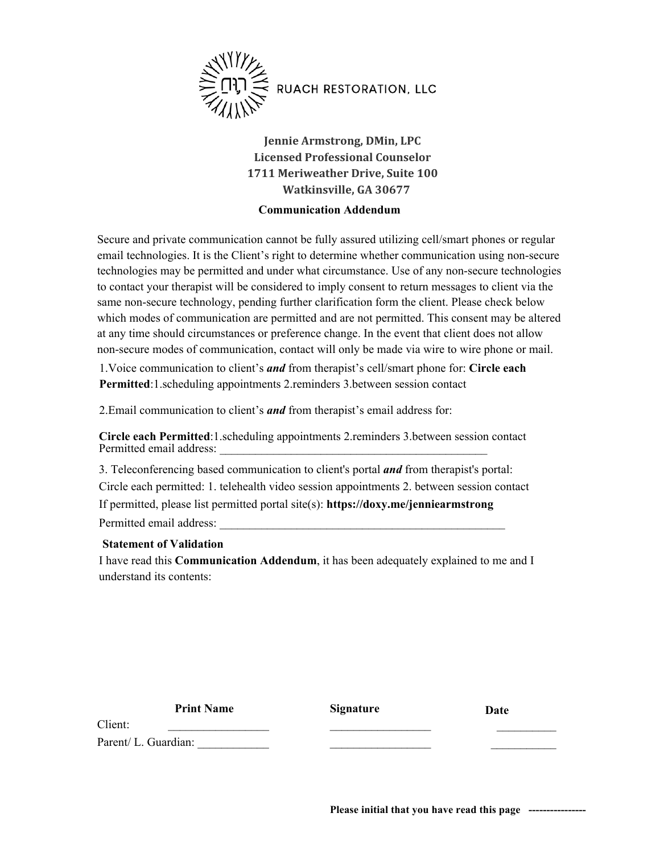

**Jennie Armstrong, DMin, LPC Licensed Professional Counselor 1711 Meriweather Drive, Suite 100 Watkinsville, GA 30677**

### **Communication Addendum**

Secure and private communication cannot be fully assured utilizing cell/smart phones or regular email technologies. It is the Client's right to determine whether communication using non-secure technologies may be permitted and under what circumstance. Use of any non-secure technologies to contact your therapist will be considered to imply consent to return messages to client via the same non-secure technology, pending further clarification form the client. Please check below which modes of communication are permitted and are not permitted. This consent may be altered at any time should circumstances or preference change. In the event that client does not allow non-secure modes of communication, contact will only be made via wire to wire phone or mail.

1.Voice communication to client's *and* from therapist's cell/smart phone for: **Circle each Permitted**:1.scheduling appointments 2.reminders 3.between session contact

2.Email communication to client's *and* from therapist's email address for:

**Circle each Permitted**:1.scheduling appointments 2.reminders 3.between session contact Permitted email address:

3. Teleconferencing based communication to client's portal *and* from therapist's portal: Circle each permitted: 1. telehealth video session appointments 2. between session contact If permitted, please list permitted portal site(s): **https://doxy.me/jenniearmstrong** Permitted email address: \_\_\_\_\_\_\_\_\_\_\_\_\_\_\_\_\_\_\_\_\_\_\_\_\_\_\_\_\_\_\_\_\_\_\_\_\_\_\_\_\_\_\_\_\_\_\_\_

### **Statement of Validation**

I have read this **Communication Addendum**, it has been adequately explained to me and I understand its contents:

**Print Name** 

**Signature** 

 $\mathcal{L}_\text{max}$  $\mathcal{L}_\text{max}$ 

**Date** 

 $\frac{1}{2}$  $\frac{1}{2}$ 

Parent/ L. Guardian:

Client:

**Please initial that you have read this page ----------------**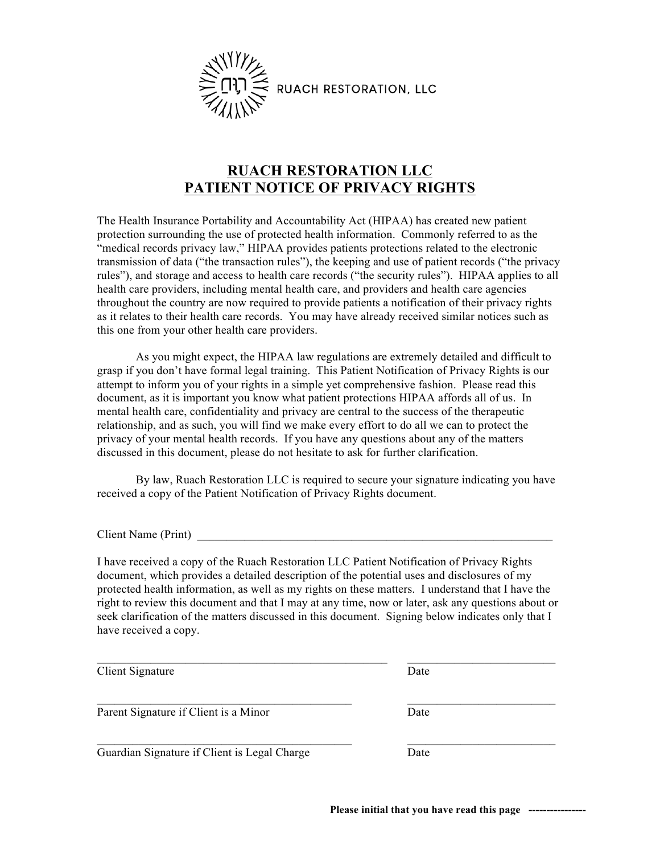

## **RUACH RESTORATION LLC PATIENT NOTICE OF PRIVACY RIGHTS**

The Health Insurance Portability and Accountability Act (HIPAA) has created new patient protection surrounding the use of protected health information. Commonly referred to as the "medical records privacy law," HIPAA provides patients protections related to the electronic transmission of data ("the transaction rules"), the keeping and use of patient records ("the privacy rules"), and storage and access to health care records ("the security rules"). HIPAA applies to all health care providers, including mental health care, and providers and health care agencies throughout the country are now required to provide patients a notification of their privacy rights as it relates to their health care records. You may have already received similar notices such as this one from your other health care providers.

As you might expect, the HIPAA law regulations are extremely detailed and difficult to grasp if you don't have formal legal training. This Patient Notification of Privacy Rights is our attempt to inform you of your rights in a simple yet comprehensive fashion. Please read this document, as it is important you know what patient protections HIPAA affords all of us. In mental health care, confidentiality and privacy are central to the success of the therapeutic relationship, and as such, you will find we make every effort to do all we can to protect the privacy of your mental health records. If you have any questions about any of the matters discussed in this document, please do not hesitate to ask for further clarification.

By law, Ruach Restoration LLC is required to secure your signature indicating you have received a copy of the Patient Notification of Privacy Rights document.

Client Name (Print)

I have received a copy of the Ruach Restoration LLC Patient Notification of Privacy Rights document, which provides a detailed description of the potential uses and disclosures of my protected health information, as well as my rights on these matters. I understand that I have the right to review this document and that I may at any time, now or later, ask any questions about or seek clarification of the matters discussed in this document. Signing below indicates only that I have received a copy.

| Client Signature                             | Date |  |
|----------------------------------------------|------|--|
| Parent Signature if Client is a Minor        | Date |  |
| Guardian Signature if Client is Legal Charge | Date |  |

**Please initial that you have read this page ----------------**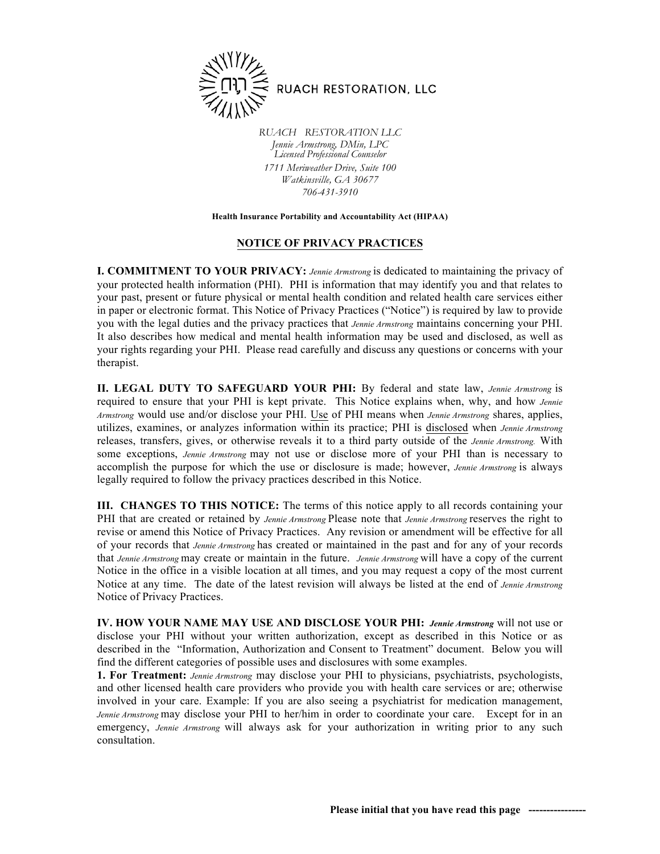

*RUACH RESTORATION LLC Jennie Armstrong, DMin, LPC Licensed Professional Counselor 1711 Meriweather Drive, Suite 100 Watkinsville, GA 30677 706-431-3910*

#### **Health Insurance Portability and Accountability Act (HIPAA)**

### **NOTICE OF PRIVACY PRACTICES**

**I. COMMITMENT TO YOUR PRIVACY:** *Jennie Armstrong* is dedicated to maintaining the privacy of your protected health information (PHI). PHI is information that may identify you and that relates to your past, present or future physical or mental health condition and related health care services either in paper or electronic format. This Notice of Privacy Practices ("Notice") is required by law to provide you with the legal duties and the privacy practices that *Jennie Armstrong* maintains concerning your PHI. It also describes how medical and mental health information may be used and disclosed, as well as your rights regarding your PHI. Please read carefully and discuss any questions or concerns with your therapist.

**II. LEGAL DUTY TO SAFEGUARD YOUR PHI:** By federal and state law, *Jennie Armstrong* is required to ensure that your PHI is kept private. This Notice explains when, why, and how *Jennie Armstrong* would use and/or disclose your PHI. Use of PHI means when *Jennie Armstrong* shares, applies, utilizes, examines, or analyzes information within its practice; PHI is disclosed when *Jennie Armstrong* releases, transfers, gives, or otherwise reveals it to a third party outside of the *Jennie Armstrong.* With some exceptions, *Jennie Armstrong* may not use or disclose more of your PHI than is necessary to accomplish the purpose for which the use or disclosure is made; however, *Jennie Armstrong* is always legally required to follow the privacy practices described in this Notice.

**III. CHANGES TO THIS NOTICE:** The terms of this notice apply to all records containing your PHI that are created or retained by *Jennie Armstrong* Please note that *Jennie Armstrong* reserves the right to revise or amend this Notice of Privacy Practices. Any revision or amendment will be effective for all of your records that *Jennie Armstrong* has created or maintained in the past and for any of your records that *Jennie Armstrong* may create or maintain in the future. *Jennie Armstrong* will have a copy of the current Notice in the office in a visible location at all times, and you may request a copy of the most current Notice at any time. The date of the latest revision will always be listed at the end of *Jennie Armstrong* Notice of Privacy Practices.

**IV. HOW YOUR NAME MAY USE AND DISCLOSE YOUR PHI:** *Jennie Armstrong* will not use or disclose your PHI without your written authorization, except as described in this Notice or as described in the "Information, Authorization and Consent to Treatment" document. Below you will find the different categories of possible uses and disclosures with some examples.

**1. For Treatment:** *Jennie Armstrong* may disclose your PHI to physicians, psychiatrists, psychologists, and other licensed health care providers who provide you with health care services or are; otherwise involved in your care. Example: If you are also seeing a psychiatrist for medication management, *Jennie Armstrong* may disclose your PHI to her/him in order to coordinate your care. Except for in an emergency, *Jennie Armstrong* will always ask for your authorization in writing prior to any such consultation.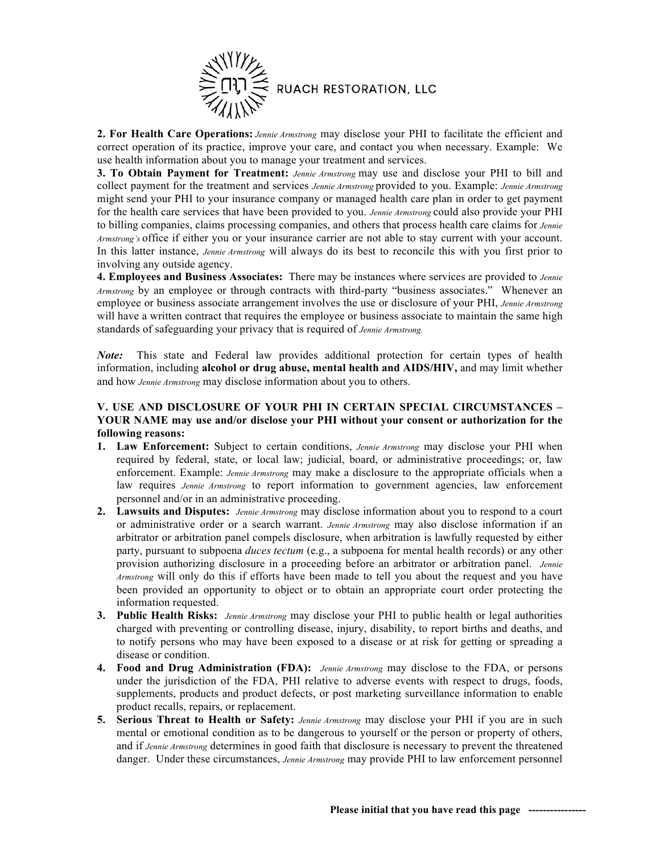

**2. For Health Care Operations:** *Jennie Armstrong* may disclose your PHI to facilitate the efficient and correct operation of its practice, improve your care, and contact you when necessary. Example: We use health information about you to manage your treatment and services.

**3. To Obtain Payment for Treatment:** *Jennie Armstrong* may use and disclose your PHI to bill and collect payment for the treatment and services *Jennie Armstrong* provided to you. Example: *Jennie Armstrong* might send your PHI to your insurance company or managed health care plan in order to get payment for the health care services that have been provided to you. *Jennie Armstrong* could also provide your PHI to billing companies, claims processing companies, and others that process health care claims for *Jennie Armstrong's* office if either you or your insurance carrier are not able to stay current with your account. In this latter instance, *Jennie Armstrong* will always do its best to reconcile this with you first prior to involving any outside agency.

**4. Employees and Business Associates:** There may be instances where services are provided to *Jennie Armstrong* by an employee or through contracts with third-party "business associates." Whenever an employee or business associate arrangement involves the use or disclosure of your PHI, *Jennie Armstrong* will have a written contract that requires the employee or business associate to maintain the same high standards of safeguarding your privacy that is required of *Jennie Armstrong.*

*Note:* This state and Federal law provides additional protection for certain types of health information, including **alcohol or drug abuse, mental health and AIDS/HIV,** and may limit whether and how *Jennie Armstrong* may disclose information about you to others.

### **V. USE AND DISCLOSURE OF YOUR PHI IN CERTAIN SPECIAL CIRCUMSTANCES – YOUR NAME may use and/or disclose your PHI without your consent or authorization for the following reasons:**

- **1. Law Enforcement:** Subject to certain conditions, *Jennie Armstrong* may disclose your PHI when required by federal, state, or local law; judicial, board, or administrative proceedings; or, law enforcement. Example: *Jennie Armstrong* may make a disclosure to the appropriate officials when a law requires *Jennie Armstrong* to report information to government agencies, law enforcement personnel and/or in an administrative proceeding.
- **2. Lawsuits and Disputes:** *Jennie Armstrong* may disclose information about you to respond to a court or administrative order or a search warrant. *Jennie Armstrong* may also disclose information if an arbitrator or arbitration panel compels disclosure, when arbitration is lawfully requested by either party, pursuant to subpoena *duces tectum* (e.g., a subpoena for mental health records) or any other provision authorizing disclosure in a proceeding before an arbitrator or arbitration panel. *Jennie Armstrong* will only do this if efforts have been made to tell you about the request and you have been provided an opportunity to object or to obtain an appropriate court order protecting the information requested.
- **3. Public Health Risks:** *Jennie Armstrong* may disclose your PHI to public health or legal authorities charged with preventing or controlling disease, injury, disability, to report births and deaths, and to notify persons who may have been exposed to a disease or at risk for getting or spreading a disease or condition.
- **4. Food and Drug Administration (FDA):** *Jennie Armstrong* may disclose to the FDA, or persons under the jurisdiction of the FDA, PHI relative to adverse events with respect to drugs, foods, supplements, products and product defects, or post marketing surveillance information to enable product recalls, repairs, or replacement.
- **5. Serious Threat to Health or Safety:** *Jennie Armstrong* may disclose your PHI if you are in such mental or emotional condition as to be dangerous to yourself or the person or property of others, and if *Jennie Armstrong* determines in good faith that disclosure is necessary to prevent the threatened danger. Under these circumstances, *Jennie Armstrong* may provide PHI to law enforcement personnel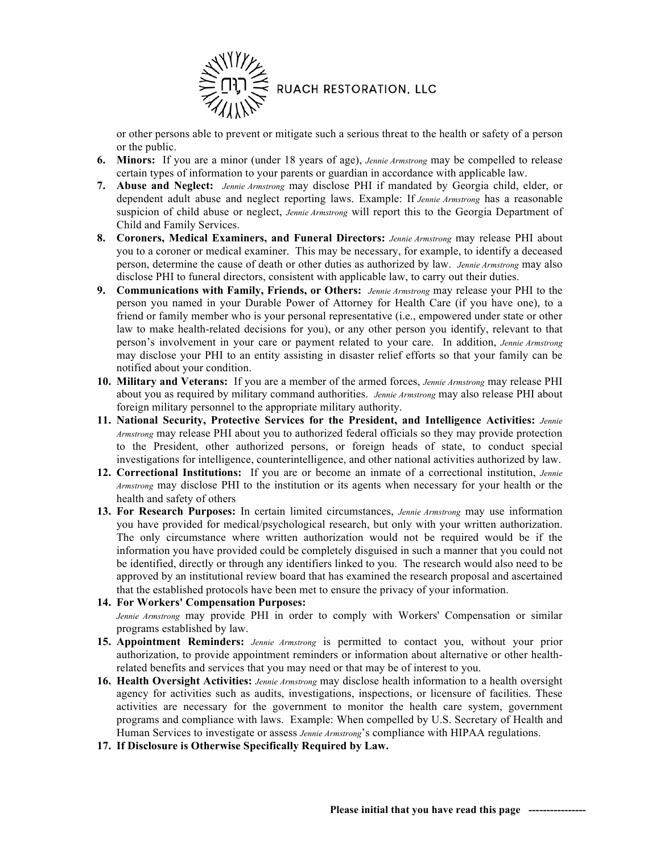

or other persons able to prevent or mitigate such a serious threat to the health or safety of a person or the public.

- **6. Minors:** If you are a minor (under 18 years of age), *Jennie Armstrong* may be compelled to release certain types of information to your parents or guardian in accordance with applicable law.
- **7. Abuse and Neglect:** *Jennie Armstrong* may disclose PHI if mandated by Georgia child, elder, or dependent adult abuse and neglect reporting laws. Example: If *Jennie Armstrong* has a reasonable suspicion of child abuse or neglect, *Jennie Armstrong* will report this to the Georgia Department of Child and Family Services.
- **8. Coroners, Medical Examiners, and Funeral Directors:** *Jennie Armstrong* may release PHI about you to a coroner or medical examiner. This may be necessary, for example, to identify a deceased person, determine the cause of death or other duties as authorized by law. *Jennie Armstrong* may also disclose PHI to funeral directors, consistent with applicable law, to carry out their duties.
- **9. Communications with Family, Friends, or Others:** *Jennie Armstrong* may release your PHI to the person you named in your Durable Power of Attorney for Health Care (if you have one), to a friend or family member who is your personal representative (i.e., empowered under state or other law to make health-related decisions for you), or any other person you identify, relevant to that person's involvement in your care or payment related to your care. In addition, *Jennie Armstrong* may disclose your PHI to an entity assisting in disaster relief efforts so that your family can be notified about your condition.
- **10. Military and Veterans:** If you are a member of the armed forces, *Jennie Armstrong* may release PHI about you as required by military command authorities. *Jennie Armstrong* may also release PHI about foreign military personnel to the appropriate military authority.
- **11. National Security, Protective Services for the President, and Intelligence Activities:** *Jennie Armstrong* may release PHI about you to authorized federal officials so they may provide protection to the President, other authorized persons, or foreign heads of state, to conduct special investigations for intelligence, counterintelligence, and other national activities authorized by law.
- **12. Correctional Institutions:** If you are or become an inmate of a correctional institution, *Jennie Armstrong* may disclose PHI to the institution or its agents when necessary for your health or the health and safety of others
- **13. For Research Purposes:** In certain limited circumstances, *Jennie Armstrong* may use information you have provided for medical/psychological research, but only with your written authorization. The only circumstance where written authorization would not be required would be if the information you have provided could be completely disguised in such a manner that you could not be identified, directly or through any identifiers linked to you. The research would also need to be approved by an institutional review board that has examined the research proposal and ascertained that the established protocols have been met to ensure the privacy of your information.

### **14. For Workers' Compensation Purposes:** *Jennie Armstrong* may provide PHI in order to comply with Workers' Compensation or similar programs established by law.

- **15. Appointment Reminders:** *Jennie Armstrong* is permitted to contact you, without your prior authorization, to provide appointment reminders or information about alternative or other healthrelated benefits and services that you may need or that may be of interest to you.
- **16. Health Oversight Activities:** *Jennie Armstrong* may disclose health information to a health oversight agency for activities such as audits, investigations, inspections, or licensure of facilities. These activities are necessary for the government to monitor the health care system, government programs and compliance with laws. Example: When compelled by U.S. Secretary of Health and Human Services to investigate or assess *Jennie Armstrong*'s compliance with HIPAA regulations.
- **17. If Disclosure is Otherwise Specifically Required by Law.**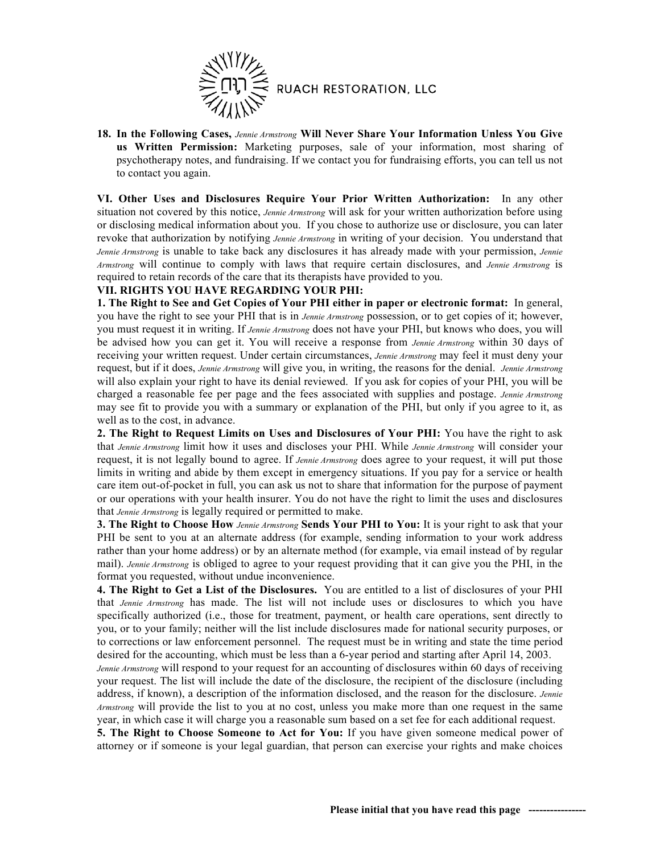

**18. In the Following Cases,** *Jennie Armstrong* **Will Never Share Your Information Unless You Give us Written Permission:** Marketing purposes, sale of your information, most sharing of psychotherapy notes, and fundraising. If we contact you for fundraising efforts, you can tell us not to contact you again.

**VI. Other Uses and Disclosures Require Your Prior Written Authorization:** In any other situation not covered by this notice, *Jennie Armstrong* will ask for your written authorization before using or disclosing medical information about you. If you chose to authorize use or disclosure, you can later revoke that authorization by notifying *Jennie Armstrong* in writing of your decision. You understand that *Jennie Armstrong* is unable to take back any disclosures it has already made with your permission, *Jennie Armstrong* will continue to comply with laws that require certain disclosures, and *Jennie Armstrong* is required to retain records of the care that its therapists have provided to you.

### **VII. RIGHTS YOU HAVE REGARDING YOUR PHI:**

**1. The Right to See and Get Copies of Your PHI either in paper or electronic format:** In general, you have the right to see your PHI that is in *Jennie Armstrong* possession, or to get copies of it; however, you must request it in writing. If *Jennie Armstrong* does not have your PHI, but knows who does, you will be advised how you can get it. You will receive a response from *Jennie Armstrong* within 30 days of receiving your written request. Under certain circumstances, *Jennie Armstrong* may feel it must deny your request, but if it does, *Jennie Armstrong* will give you, in writing, the reasons for the denial. *Jennie Armstrong* will also explain your right to have its denial reviewed. If you ask for copies of your PHI, you will be charged a reasonable fee per page and the fees associated with supplies and postage. *Jennie Armstrong* may see fit to provide you with a summary or explanation of the PHI, but only if you agree to it, as well as to the cost, in advance.

**2. The Right to Request Limits on Uses and Disclosures of Your PHI:** You have the right to ask that *Jennie Armstrong* limit how it uses and discloses your PHI. While *Jennie Armstrong* will consider your request, it is not legally bound to agree. If *Jennie Armstrong* does agree to your request, it will put those limits in writing and abide by them except in emergency situations. If you pay for a service or health care item out-of-pocket in full, you can ask us not to share that information for the purpose of payment or our operations with your health insurer. You do not have the right to limit the uses and disclosures that *Jennie Armstrong* is legally required or permitted to make.

**3. The Right to Choose How** *Jennie Armstrong* **Sends Your PHI to You:** It is your right to ask that your PHI be sent to you at an alternate address (for example, sending information to your work address rather than your home address) or by an alternate method (for example, via email instead of by regular mail). *Jennie Armstrong* is obliged to agree to your request providing that it can give you the PHI, in the format you requested, without undue inconvenience.

**4. The Right to Get a List of the Disclosures.** You are entitled to a list of disclosures of your PHI that *Jennie Armstrong* has made. The list will not include uses or disclosures to which you have specifically authorized (i.e., those for treatment, payment, or health care operations, sent directly to you, or to your family; neither will the list include disclosures made for national security purposes, or to corrections or law enforcement personnel. The request must be in writing and state the time period desired for the accounting, which must be less than a 6-year period and starting after April 14, 2003.

*Jennie Armstrong* will respond to your request for an accounting of disclosures within 60 days of receiving your request. The list will include the date of the disclosure, the recipient of the disclosure (including address, if known), a description of the information disclosed, and the reason for the disclosure. *Jennie Armstrong* will provide the list to you at no cost, unless you make more than one request in the same year, in which case it will charge you a reasonable sum based on a set fee for each additional request.

**5. The Right to Choose Someone to Act for You:** If you have given someone medical power of attorney or if someone is your legal guardian, that person can exercise your rights and make choices